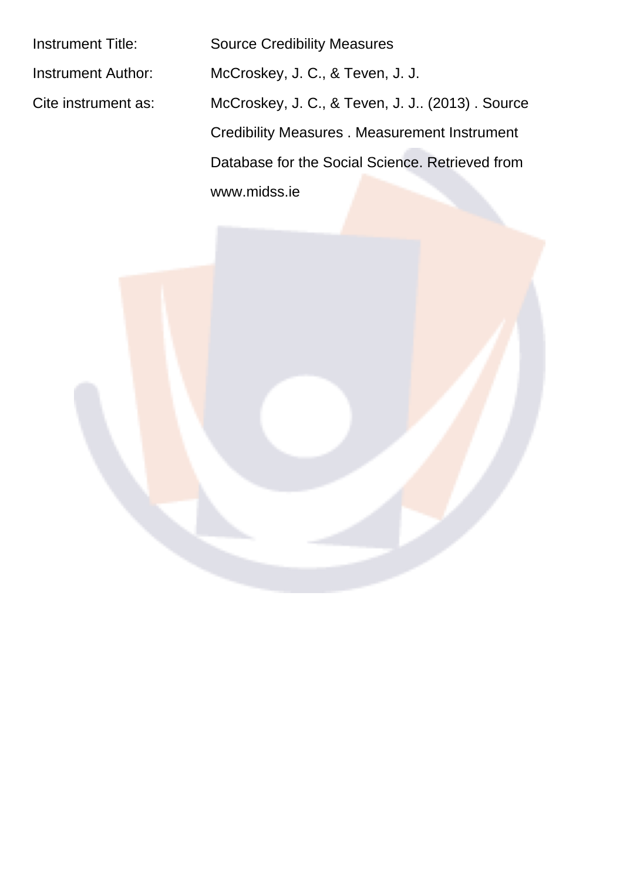Instrument Title: Source Credibility Measures Instrument Author: McCroskey, J. C., & Teven, J. J. Cite instrument as: McCroskey, J. C., & Teven, J. J.. (2013) . Source Credibility Measures . Measurement Instrument Database for the Social Science. Retrieved from www.midss.ie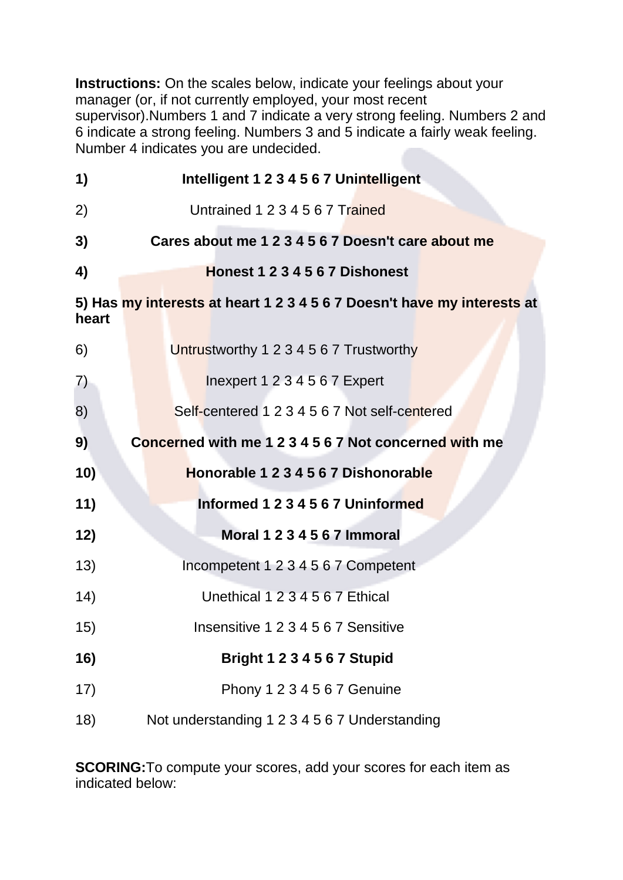Instructions: On the scales below, indicate your feelings about your manager (or, if not currently employed, your most recent supervisor). Numbers 1 and 7 indicate a very strong feeling. Numbers 2 and 6 indicate a strong feeling. Numbers 3 and 5 indicate a fairly weak feeling. Number 4 indicates you are undecided.

| 1)    | Intelligent 1 2 3 4 5 6 7 Unintelligent                                 |  |  |  |  |  |  |  |  |  |
|-------|-------------------------------------------------------------------------|--|--|--|--|--|--|--|--|--|
| 2)    | Untrained 1 2 3 4 5 6 7 Trained                                         |  |  |  |  |  |  |  |  |  |
| 3)    | Cares about me 1 2 3 4 5 6 7 Doesn't care about me                      |  |  |  |  |  |  |  |  |  |
| 4)    | Honest 1 2 3 4 5 6 7 Dishonest                                          |  |  |  |  |  |  |  |  |  |
| heart | 5) Has my interests at heart 1 2 3 4 5 6 7 Doesn't have my interests at |  |  |  |  |  |  |  |  |  |
| 6)    | Untrustworthy 1 2 3 4 5 6 7 Trustworthy                                 |  |  |  |  |  |  |  |  |  |
| 7)    | Inexpert 1 2 3 4 5 6 7 Expert                                           |  |  |  |  |  |  |  |  |  |
| 8)    | Self-centered 1 2 3 4 5 6 7 Not self-centered                           |  |  |  |  |  |  |  |  |  |
| 9)    | Concerned with me 1 2 3 4 5 6 7 Not concerned with me                   |  |  |  |  |  |  |  |  |  |
| 10)   | Honorable 1 2 3 4 5 6 7 Dishonorable                                    |  |  |  |  |  |  |  |  |  |
| 11)   | Informed 1 2 3 4 5 6 7 Uninformed                                       |  |  |  |  |  |  |  |  |  |
| 12)   | <b>Moral 1 2 3 4 5 6 7 Immoral</b>                                      |  |  |  |  |  |  |  |  |  |
| 13)   | Incompetent 1 2 3 4 5 6 7 Competent                                     |  |  |  |  |  |  |  |  |  |
| (14)  | Unethical 1 2 3 4 5 6 7 Ethical                                         |  |  |  |  |  |  |  |  |  |
| 15)   | Insensitive 1 2 3 4 5 6 7 Sensitive                                     |  |  |  |  |  |  |  |  |  |
| 16)   | <b>Bright 1 2 3 4 5 6 7 Stupid</b>                                      |  |  |  |  |  |  |  |  |  |
| 17)   | Phony 1 2 3 4 5 6 7 Genuine                                             |  |  |  |  |  |  |  |  |  |
| 18)   | Not understanding 1 2 3 4 5 6 7 Understanding                           |  |  |  |  |  |  |  |  |  |

**SCORING:** To compute your scores, add your scores for each item as indicated below: